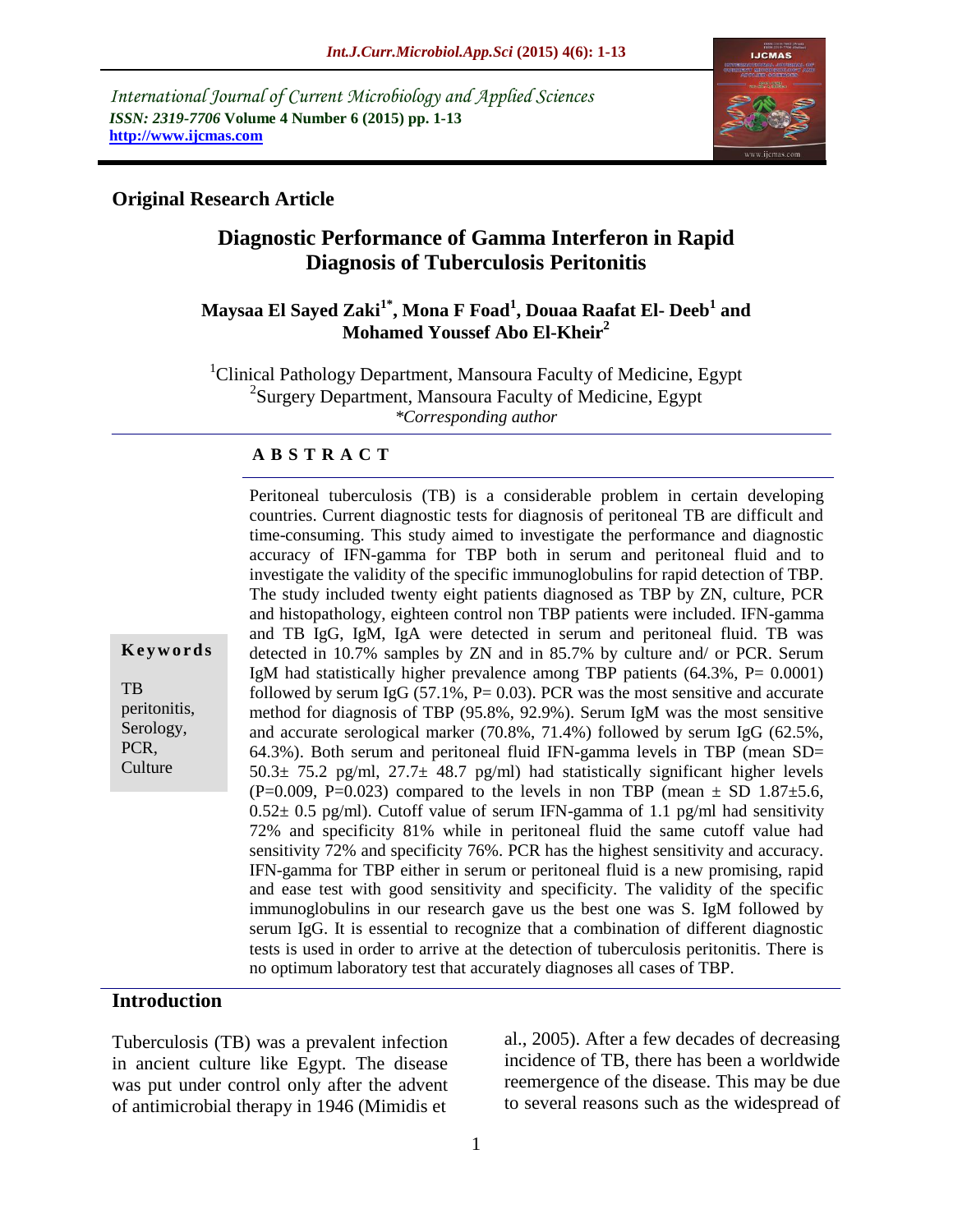*International Journal of Current Microbiology and Applied Sciences ISSN: 2319-7706* **Volume 4 Number 6 (2015) pp. 1-13 http://www.ijcmas.com**



#### **Original Research Article**

# **Diagnostic Performance of Gamma Interferon in Rapid Diagnosis of Tuberculosis Peritonitis**

## **Maysaa El Sayed Zaki1\* , Mona F Foad<sup>1</sup> , Douaa Raafat El- Deeb<sup>1</sup> and Mohamed Youssef Abo El-Kheir<sup>2</sup>**

<sup>1</sup>Clinical Pathology Department, Mansoura Faculty of Medicine, Egypt <sup>2</sup>Surgery Department, Mansoura Faculty of Medicine, Egypt *\*Corresponding author*

#### **A B S T R A C T**

**K e y w o r d s** TB peritonitis, Serology, PCR, **Culture** 

Peritoneal tuberculosis (TB) is a considerable problem in certain developing countries. Current diagnostic tests for diagnosis of peritoneal TB are difficult and time-consuming. This study aimed to investigate the performance and diagnostic accuracy of IFN-gamma for TBP both in serum and peritoneal fluid and to investigate the validity of the specific immunoglobulins for rapid detection of TBP. The study included twenty eight patients diagnosed as TBP by ZN, culture, PCR and histopathology, eighteen control non TBP patients were included. IFN-gamma and TB IgG, IgM, IgA were detected in serum and peritoneal fluid. TB was detected in 10.7% samples by ZN and in 85.7% by culture and/ or PCR. Serum IgM had statistically higher prevalence among TBP patients (64.3%, P= 0.0001) followed by serum IgG (57.1%,  $P = 0.03$ ). PCR was the most sensitive and accurate method for diagnosis of TBP (95.8%, 92.9%). Serum IgM was the most sensitive and accurate serological marker (70.8%, 71.4%) followed by serum IgG (62.5%, 64.3%). Both serum and peritoneal fluid IFN-gamma levels in TBP (mean SD=  $50.3 \pm 75.2$  pg/ml,  $27.7 \pm 48.7$  pg/ml) had statistically significant higher levels  $(P=0.009, P=0.023)$  compared to the levels in non TBP (mean  $\pm$  SD 1.87 $\pm$ 5.6,  $0.52 \pm 0.5$  pg/ml). Cutoff value of serum IFN-gamma of 1.1 pg/ml had sensitivity 72% and specificity 81% while in peritoneal fluid the same cutoff value had sensitivity 72% and specificity 76%. PCR has the highest sensitivity and accuracy. IFN-gamma for TBP either in serum or peritoneal fluid is a new promising, rapid and ease test with good sensitivity and specificity. The validity of the specific immunoglobulins in our research gave us the best one was S. IgM followed by serum IgG. It is essential to recognize that a combination of different diagnostic tests is used in order to arrive at the detection of tuberculosis peritonitis. There is no optimum laboratory test that accurately diagnoses all cases of TBP.

#### **Introduction**

Tuberculosis (TB) was a prevalent infection in ancient culture like Egypt. The disease was put under control only after the advent of antimicrobial therapy in 1946 (Mimidis et

al., 2005). After a few decades of decreasing incidence of TB, there has been a worldwide reemergence of the disease. This may be due to several reasons such as the widespread of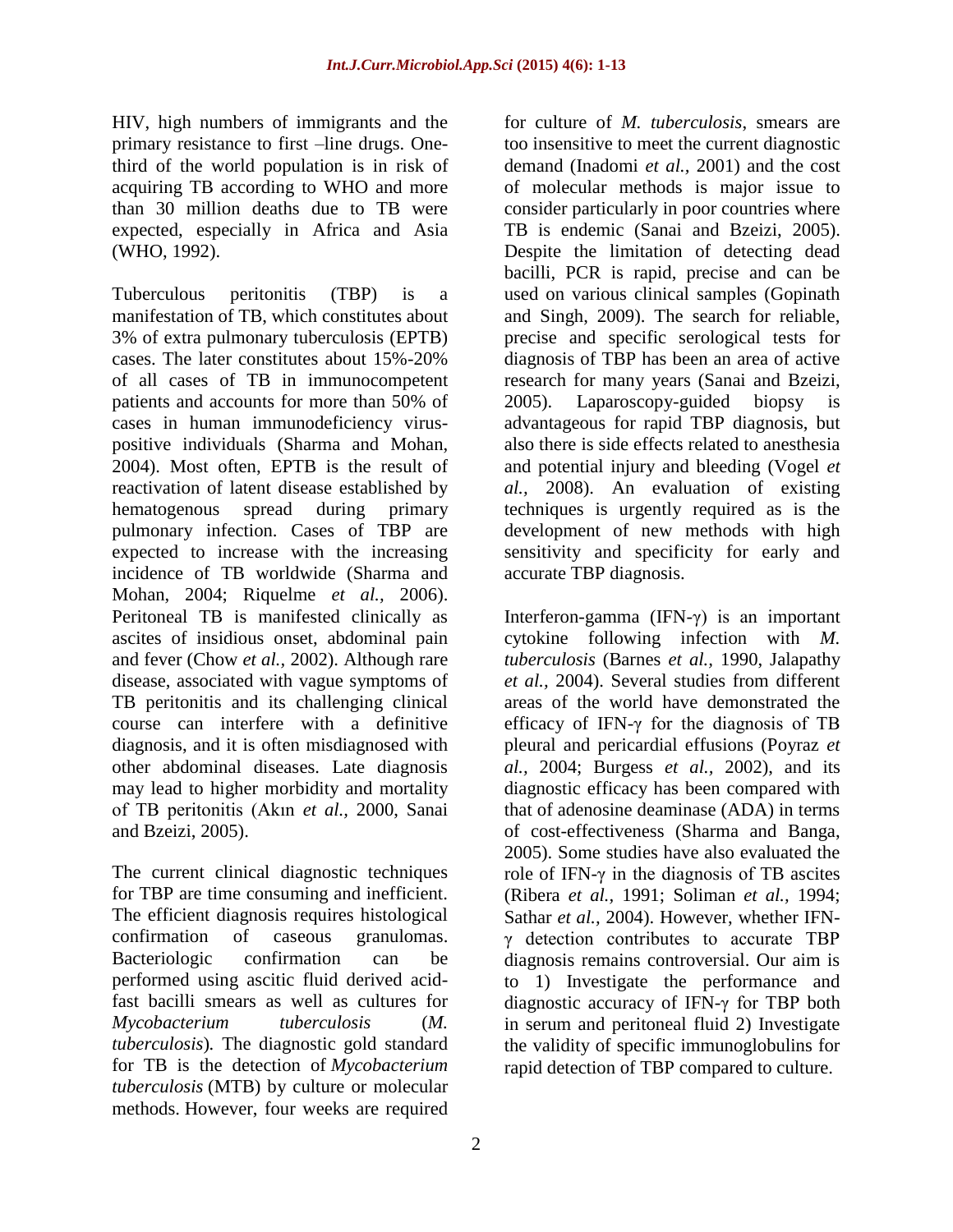HIV, high numbers of immigrants and the primary resistance to first –line drugs. Onethird of the world population is in risk of acquiring TB according to WHO and more than 30 million deaths due to TB were expected, especially in Africa and Asia (WHO, 1992).

Tuberculous peritonitis (TBP) is a manifestation of TB, which constitutes about 3% of extra pulmonary tuberculosis (EPTB) cases. The later constitutes about 15%-20% of all cases of TB in immunocompetent patients and accounts for more than 50% of cases in human immunodeficiency viruspositive individuals (Sharma and Mohan, 2004). Most often, EPTB is the result of reactivation of latent disease established by hematogenous spread during primary pulmonary infection. Cases of TBP are expected to increase with the increasing incidence of TB worldwide (Sharma and Mohan, 2004; Riquelme *et al.,* 2006). Peritoneal TB is manifested clinically as ascites of insidious onset, abdominal pain and fever (Chow *et al.,* 2002). Although rare disease, associated with vague symptoms of TB peritonitis and its challenging clinical course can interfere with a definitive diagnosis, and it is often misdiagnosed with other abdominal diseases. Late diagnosis may lead to higher morbidity and mortality of TB peritonitis (Akın *et al.,* 2000, Sanai and Bzeizi, 2005).

The current clinical diagnostic techniques for TBP are time consuming and inefficient. The efficient diagnosis requires histological confirmation of caseous granulomas. Bacteriologic confirmation can be performed using ascitic fluid derived acidfast bacilli smears as well as cultures for *Mycobacterium tuberculosis* (*M. tuberculosis*)*.* The diagnostic gold standard for TB is the detection of *Mycobacterium tuberculosis* (MTB) by culture or molecular methods. However, four weeks are required

for culture of *M. tuberculosis*, smears are too insensitive to meet the current diagnostic demand (Inadomi *et al.,* 2001) and the cost of molecular methods is major issue to consider particularly in poor countries where TB is endemic (Sanai and Bzeizi, 2005). Despite the limitation of detecting dead bacilli, PCR is rapid, precise and can be used on various clinical samples (Gopinath and Singh, 2009). The search for reliable, precise and specific serological tests for diagnosis of TBP has been an area of active research for many years (Sanai and Bzeizi, 2005). Laparoscopy-guided biopsy is advantageous for rapid TBP diagnosis, but also there is side effects related to anesthesia and potential injury and bleeding (Vogel *et al.,* 2008). An evaluation of existing techniques is urgently required as is the development of new methods with high sensitivity and specificity for early and accurate TBP diagnosis.

Interferon-gamma (IFN-γ) is an important cytokine following infection with *M. tuberculosis* (Barnes *et al.,* 1990, Jalapathy *et al.,* 2004). Several studies from different areas of the world have demonstrated the efficacy of IFN-γ for the diagnosis of TB pleural and pericardial effusions (Poyraz *et al.,* 2004; Burgess *et al.,* 2002), and its diagnostic efficacy has been compared with that of adenosine deaminase (ADA) in terms of cost-effectiveness (Sharma and Banga, 2005). Some studies have also evaluated the role of IFN-γ in the diagnosis of TB ascites (Ribera *et al.,* 1991; Soliman *et al.,* 1994; Sathar *et al.,* 2004). However, whether IFNγ detection contributes to accurate TBP diagnosis remains controversial. Our aim is to 1) Investigate the performance and diagnostic accuracy of IFN-γ for TBP both in serum and peritoneal fluid 2) Investigate the validity of specific immunoglobulins for rapid detection of TBP compared to culture.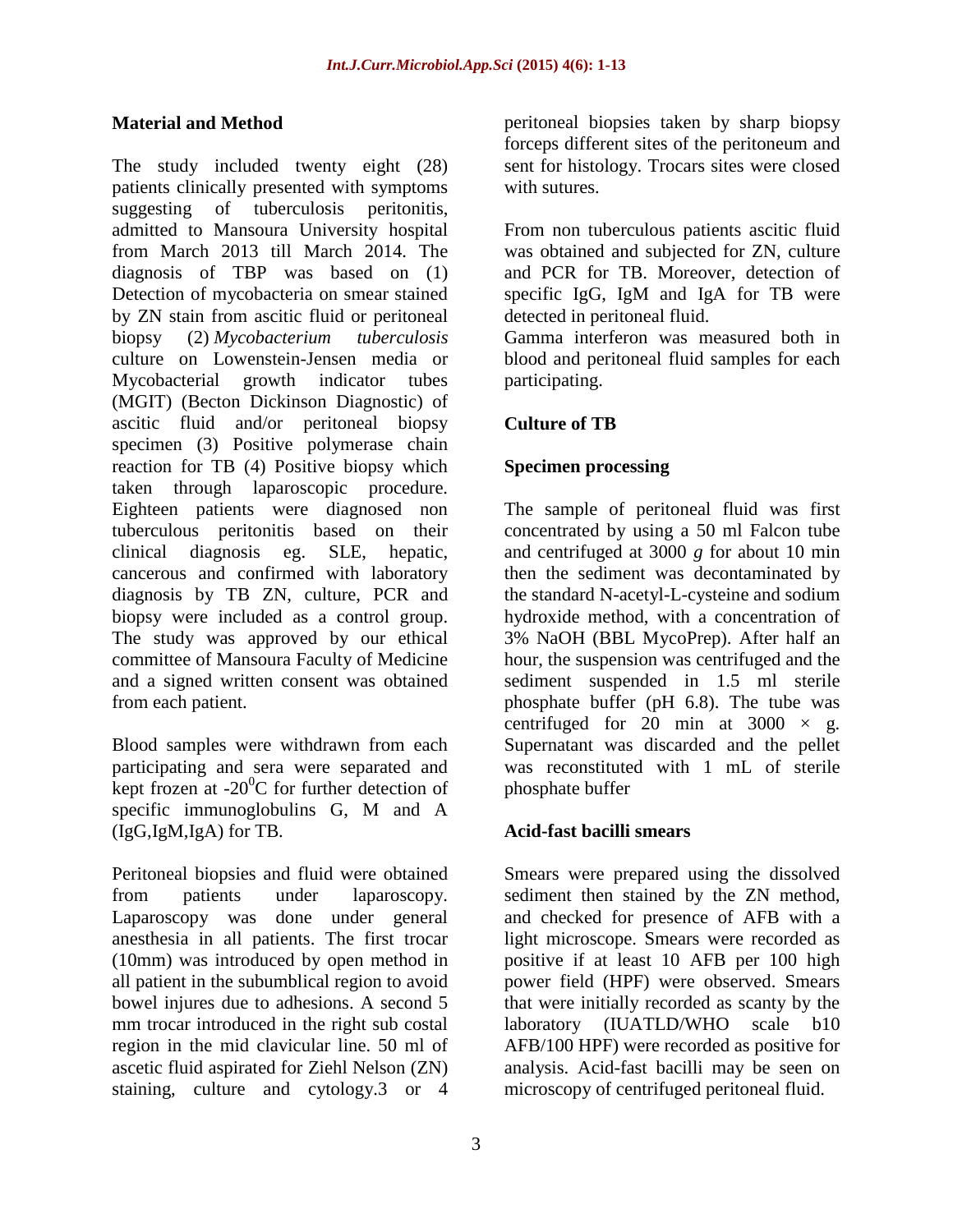#### **Material and Method**

The study included twenty eight (28) patients clinically presented with symptoms suggesting of tuberculosis peritonitis, admitted to Mansoura University hospital from March 2013 till March 2014. The diagnosis of TBP was based on (1) Detection of mycobacteria on smear stained by ZN stain from ascitic fluid or peritoneal biopsy (2) *Mycobacterium tuberculosis* culture on Lowenstein-Jensen media or Mycobacterial growth indicator tubes (MGIT) (Becton Dickinson Diagnostic) of ascitic fluid and/or peritoneal biopsy specimen (3) Positive polymerase chain reaction for TB (4) Positive biopsy which taken through laparoscopic procedure. Eighteen patients were diagnosed non tuberculous peritonitis based on their clinical diagnosis eg. SLE, hepatic, cancerous and confirmed with laboratory diagnosis by TB ZN, culture, PCR and biopsy were included as a control group. The study was approved by our ethical committee of Mansoura Faculty of Medicine and a signed written consent was obtained from each patient.

Blood samples were withdrawn from each participating and sera were separated and kept frozen at  $-20^0C$  for further detection of specific immunoglobulins G, M and A (IgG,IgM,IgA) for TB.

Peritoneal biopsies and fluid were obtained from patients under laparoscopy. Laparoscopy was done under general anesthesia in all patients. The first trocar (10mm) was introduced by open method in all patient in the subumblical region to avoid bowel injures due to adhesions. A second 5 mm trocar introduced in the right sub costal region in the mid clavicular line. 50 ml of ascetic fluid aspirated for Ziehl Nelson (ZN) staining, culture and cytology.3 or 4

peritoneal biopsies taken by sharp biopsy forceps different sites of the peritoneum and sent for histology. Trocars sites were closed with sutures.

From non tuberculous patients ascitic fluid was obtained and subjected for ZN, culture and PCR for TB. Moreover, detection of specific IgG, IgM and IgA for TB were detected in peritoneal fluid.

Gamma interferon was measured both in blood and peritoneal fluid samples for each participating.

## **Culture of TB**

#### **Specimen processing**

The sample of peritoneal fluid was first concentrated by using a 50 ml Falcon tube and centrifuged at 3000 *g* for about 10 min then the sediment was decontaminated by the standard N-acetyl-L-cysteine and sodium hydroxide method, with a concentration of 3% NaOH (BBL MycoPrep). After half an hour, the suspension was centrifuged and the sediment suspended in 1.5 ml sterile phosphate buffer (pH 6.8). The tube was centrifuged for 20 min at 3000  $\times$  g. Supernatant was discarded and the pellet was reconstituted with 1 mL of sterile phosphate buffer

#### **Acid-fast bacilli smears**

Smears were prepared using the dissolved sediment then stained by the ZN method, and checked for presence of AFB with a light microscope. Smears were recorded as positive if at least 10 AFB per 100 high power field (HPF) were observed. Smears that were initially recorded as scanty by the laboratory (IUATLD/WHO scale b10 AFB/100 HPF) were recorded as positive for analysis. Acid-fast bacilli may be seen on microscopy of centrifuged peritoneal fluid.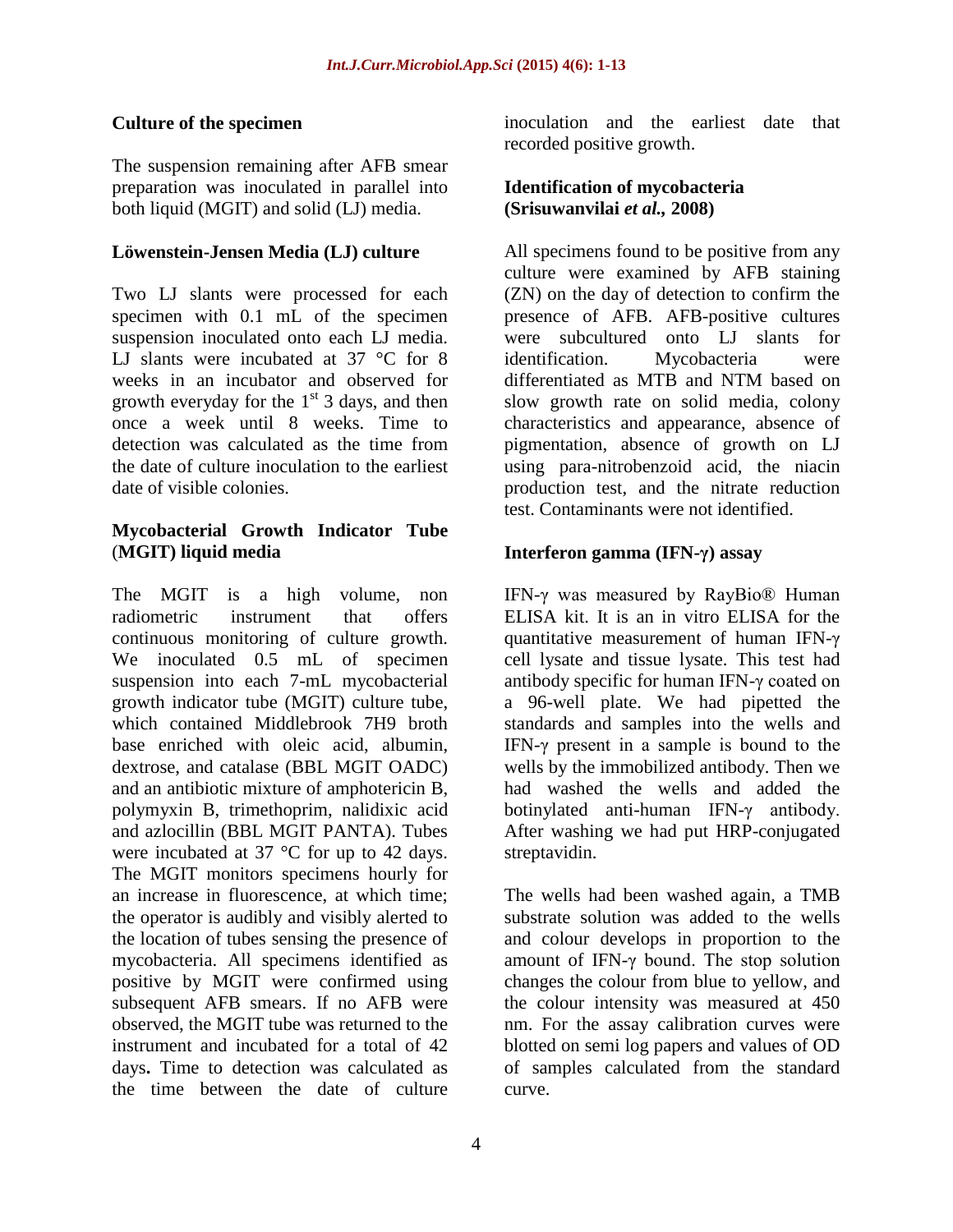#### **Culture of the specimen**

The suspension remaining after AFB smear preparation was inoculated in parallel into both liquid (MGIT) and solid (LJ) media.

#### **Löwenstein-Jensen Media (LJ) culture**

Two LJ slants were processed for each specimen with 0.1 mL of the specimen suspension inoculated onto each LJ media. LJ slants were incubated at 37 °C for 8 weeks in an incubator and observed for growth everyday for the  $1<sup>st</sup>$  3 days, and then once a week until 8 weeks. Time to detection was calculated as the time from the date of culture inoculation to the earliest date of visible colonies.

#### **Mycobacterial Growth Indicator Tube** (**MGIT) liquid media**

The MGIT is a high volume, non radiometric instrument that offers continuous monitoring of culture growth. We inoculated 0.5 mL of specimen suspension into each 7-mL mycobacterial growth indicator tube (MGIT) culture tube, which contained Middlebrook 7H9 broth base enriched with oleic acid, albumin, dextrose, and catalase (BBL MGIT OADC) and an antibiotic mixture of amphotericin B, polymyxin B, trimethoprim, nalidixic acid and azlocillin (BBL MGIT PANTA). Tubes were incubated at 37 °C for up to 42 days. The MGIT monitors specimens hourly for an increase in fluorescence, at which time; the operator is audibly and visibly alerted to the location of tubes sensing the presence of mycobacteria. All specimens identified as positive by MGIT were confirmed using subsequent AFB smears. If no AFB were observed, the MGIT tube was returned to the instrument and incubated for a total of 42 days**.** Time to detection was calculated as the time between the date of culture

inoculation and the earliest date that recorded positive growth.

#### **Identification of mycobacteria (Srisuwanvilai** *et al.,* **2008)**

All specimens found to be positive from any culture were examined by AFB staining (ZN) on the day of detection to confirm the presence of AFB. AFB-positive cultures were subcultured onto LJ slants for identification. Mycobacteria were differentiated as MTB and NTM based on slow growth rate on solid media, colony characteristics and appearance, absence of pigmentation, absence of growth on LJ using para-nitrobenzoid acid, the niacin production test, and the nitrate reduction test. Contaminants were not identified.

## **Interferon gamma (IFN-γ) assay**

IFN-γ was measured by RayBio® Human ELISA kit. It is an in vitro ELISA for the quantitative measurement of human IFN-γ cell lysate and tissue lysate. This test had antibody specific for human IFN-γ coated on a 96-well plate. We had pipetted the standards and samples into the wells and IFN-γ present in a sample is bound to the wells by the immobilized antibody. Then we had washed the wells and added the botinylated anti-human IFN-γ antibody. After washing we had put HRP-conjugated streptavidin.

The wells had been washed again, a TMB substrate solution was added to the wells and colour develops in proportion to the amount of IFN-γ bound. The stop solution changes the colour from blue to yellow, and the colour intensity was measured at 450 nm. For the assay calibration curves were blotted on semi log papers and values of OD of samples calculated from the standard curve.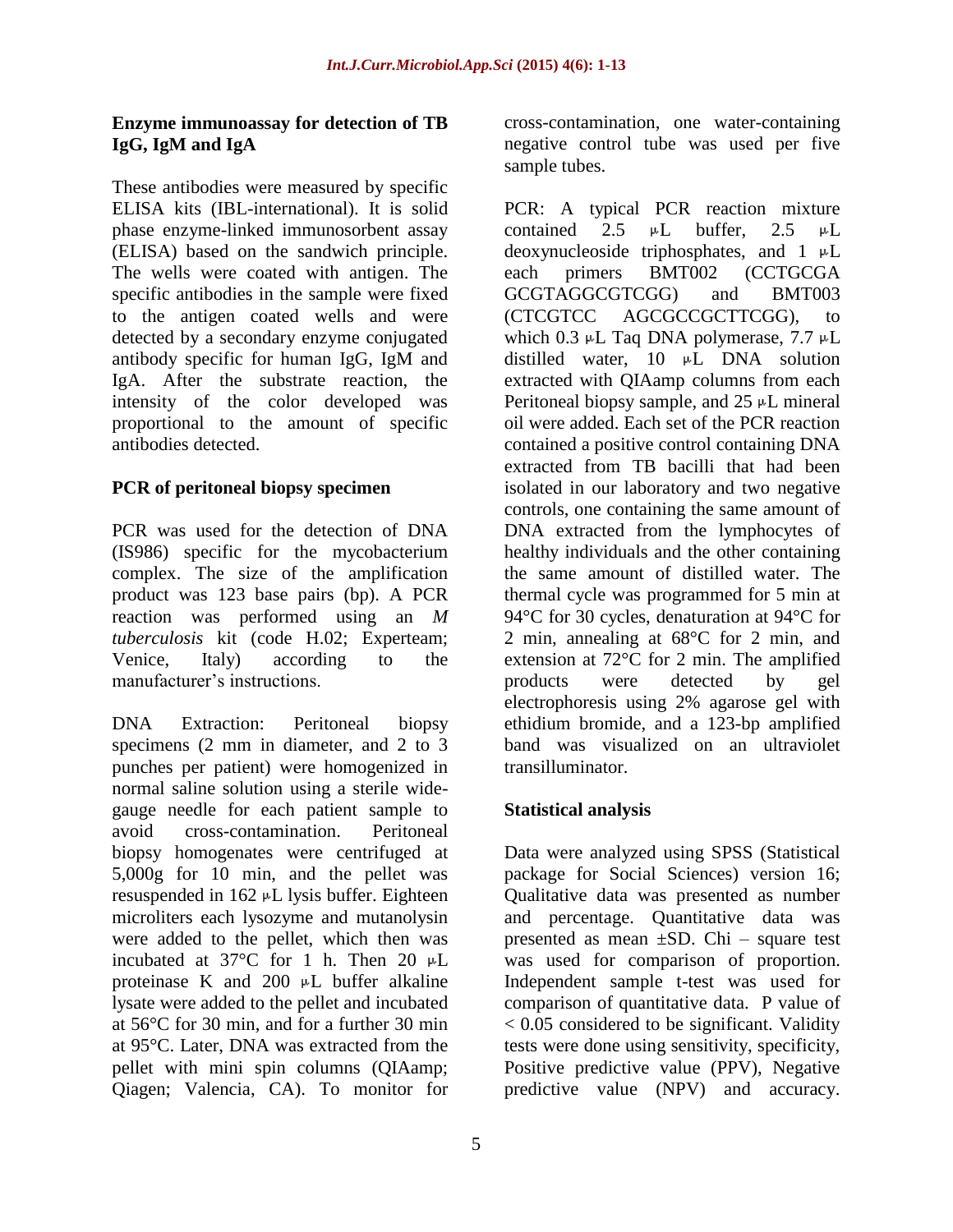## **Enzyme immunoassay for detection of TB IgG, IgM and IgA**

These antibodies were measured by specific ELISA kits (IBL-international). It is solid phase enzyme-linked immunosorbent assay (ELISA) based on the sandwich principle. The wells were coated with antigen. The specific antibodies in the sample were fixed to the antigen coated wells and were detected by a secondary enzyme conjugated antibody specific for human IgG, IgM and IgA. After the substrate reaction, the intensity of the color developed was proportional to the amount of specific antibodies detected.

## **PCR of peritoneal biopsy specimen**

PCR was used for the detection of DNA (IS986) specific for the mycobacterium complex. The size of the amplification product was 123 base pairs (bp). A PCR reaction was performed using an *M tuberculosis* kit (code H.02; Experteam; Venice, Italy) according to the manufacturer's instructions.

DNA Extraction: Peritoneal biopsy specimens (2 mm in diameter, and 2 to 3 punches per patient) were homogenized in normal saline solution using a sterile widegauge needle for each patient sample to avoid cross-contamination. Peritoneal biopsy homogenates were centrifuged at 5,000g for 10 min, and the pellet was resuspended in  $162 \mu L$  lysis buffer. Eighteen microliters each lysozyme and mutanolysin were added to the pellet, which then was incubated at  $37^{\circ}$ C for 1 h. Then 20  $\mu$ L proteinase K and  $200 \mu L$  buffer alkaline lysate were added to the pellet and incubated at 56°C for 30 min, and for a further 30 min at 95°C. Later, DNA was extracted from the pellet with mini spin columns (QIAamp; Qiagen; Valencia, CA). To monitor for

cross-contamination, one water-containing negative control tube was used per five sample tubes.

PCR: A typical PCR reaction mixture contained  $2.5 \text{ }\mu\text{L}$  buffer,  $2.5 \text{ }\mu\text{L}$ deoxynucleoside triphosphates, and  $1 \mu L$ each primers BMT002 (CCTGCGA GCGTAGGCGTCGG) and BMT003 (CTCGTCC AGCGCCGCTTCGG), to which 0.3  $\mu$ L Taq DNA polymerase, 7.7  $\mu$ L distilled water,  $10 \mu L$  DNA solution extracted with QIAamp columns from each Peritoneal biopsy sample, and  $25 \mu L$  mineral oil were added. Each set of the PCR reaction contained a positive control containing DNA extracted from TB bacilli that had been isolated in our laboratory and two negative controls, one containing the same amount of DNA extracted from the lymphocytes of healthy individuals and the other containing the same amount of distilled water. The thermal cycle was programmed for 5 min at 94°C for 30 cycles, denaturation at 94°C for 2 min, annealing at 68°C for 2 min, and extension at 72°C for 2 min. The amplified products were detected by gel electrophoresis using 2% agarose gel with ethidium bromide, and a 123-bp amplified band was visualized on an ultraviolet transilluminator.

## **Statistical analysis**

Data were analyzed using SPSS (Statistical package for Social Sciences) version 16; Qualitative data was presented as number and percentage. Quantitative data was presented as mean  $\pm SD$ . Chi – square test was used for comparison of proportion. Independent sample t-test was used for comparison of quantitative data. P value of < 0.05 considered to be significant. Validity tests were done using sensitivity, specificity, Positive predictive value (PPV), Negative predictive value (NPV) and accuracy.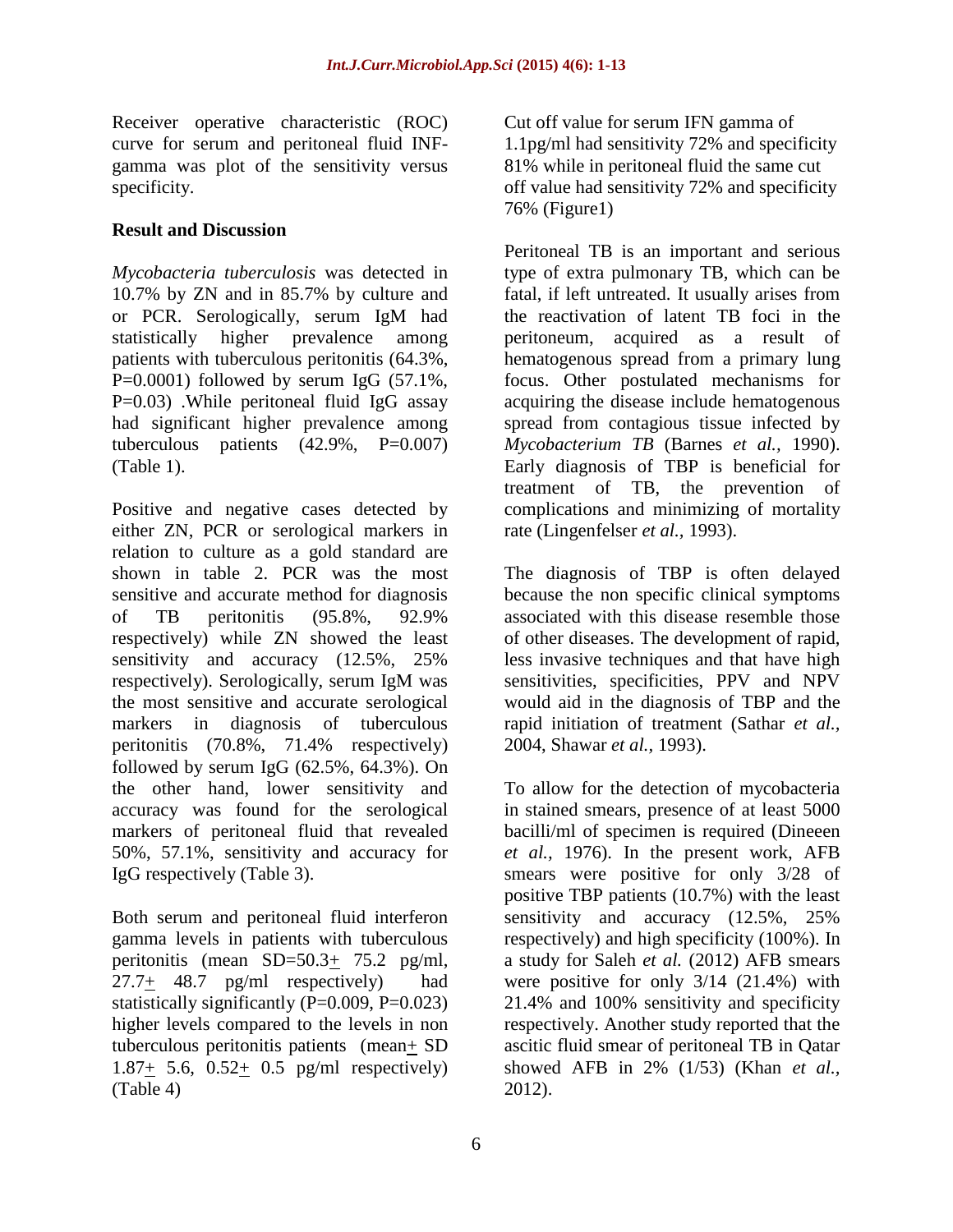Receiver operative characteristic (ROC) curve for serum and peritoneal fluid INFgamma was plot of the sensitivity versus specificity.

## **Result and Discussion**

*Mycobacteria tuberculosis* was detected in 10.7% by ZN and in 85.7% by culture and or PCR. Serologically, serum IgM had statistically higher prevalence among patients with tuberculous peritonitis (64.3%, P=0.0001) followed by serum IgG  $(57.1\%$ , P=0.03) .While peritoneal fluid IgG assay had significant higher prevalence among tuberculous patients  $(42.9\%, P=0.007)$ (Table 1).

Positive and negative cases detected by either ZN, PCR or serological markers in relation to culture as a gold standard are shown in table 2. PCR was the most sensitive and accurate method for diagnosis of TB peritonitis (95.8%, 92.9% respectively) while ZN showed the least sensitivity and accuracy (12.5%, 25% respectively). Serologically, serum IgM was the most sensitive and accurate serological markers in diagnosis of tuberculous peritonitis (70.8%, 71.4% respectively) followed by serum IgG  $(62.5\%, 64.3\%)$ . On the other hand, lower sensitivity and accuracy was found for the serological markers of peritoneal fluid that revealed 50%, 57.1%, sensitivity and accuracy for IgG respectively (Table 3).

Both serum and peritoneal fluid interferon gamma levels in patients with tuberculous peritonitis (mean SD=50.3+ 75.2 pg/ml, 27.7+ 48.7 pg/ml respectively) had statistically significantly  $(P=0.009, P=0.023)$ higher levels compared to the levels in non tuberculous peritonitis patients (mean+ SD 1.87+ 5.6, 0.52+ 0.5 pg/ml respectively) (Table 4)

Cut off value for serum IFN gamma of 1.1pg/ml had sensitivity 72% and specificity 81% while in peritoneal fluid the same cut off value had sensitivity 72% and specificity 76% (Figure1)

Peritoneal TB is an important and serious type of extra pulmonary TB, which can be fatal, if left untreated. It usually arises from the reactivation of latent TB foci in the peritoneum, acquired as a result of hematogenous spread from a primary lung focus. Other postulated mechanisms for acquiring the disease include hematogenous spread from contagious tissue infected by *Mycobacterium TB* (Barnes *et al.,* 1990). Early diagnosis of TBP is beneficial for treatment of TB, the prevention of complications and minimizing of mortality rate (Lingenfelser *et al.,* 1993).

The diagnosis of TBP is often delayed because the non specific clinical symptoms associated with this disease resemble those of other diseases. The development of rapid, less invasive techniques and that have high sensitivities, specificities, PPV and NPV would aid in the diagnosis of TBP and the rapid initiation of treatment (Sathar *et al.,* 2004, Shawar *et al.,* 1993).

To allow for the detection of mycobacteria in stained smears, presence of at least 5000 bacilli/ml of specimen is required (Dineeen *et al.,* 1976). In the present work, AFB smears were positive for only 3/28 of positive TBP patients (10.7%) with the least sensitivity and accuracy (12.5%, 25% respectively) and high specificity (100%). In a study for Saleh *et al.* (2012) AFB smears were positive for only 3/14 (21.4%) with 21.4% and 100% sensitivity and specificity respectively. Another study reported that the ascitic fluid smear of peritoneal TB in Qatar showed AFB in 2% (1/53) (Khan *et al.,* 2012).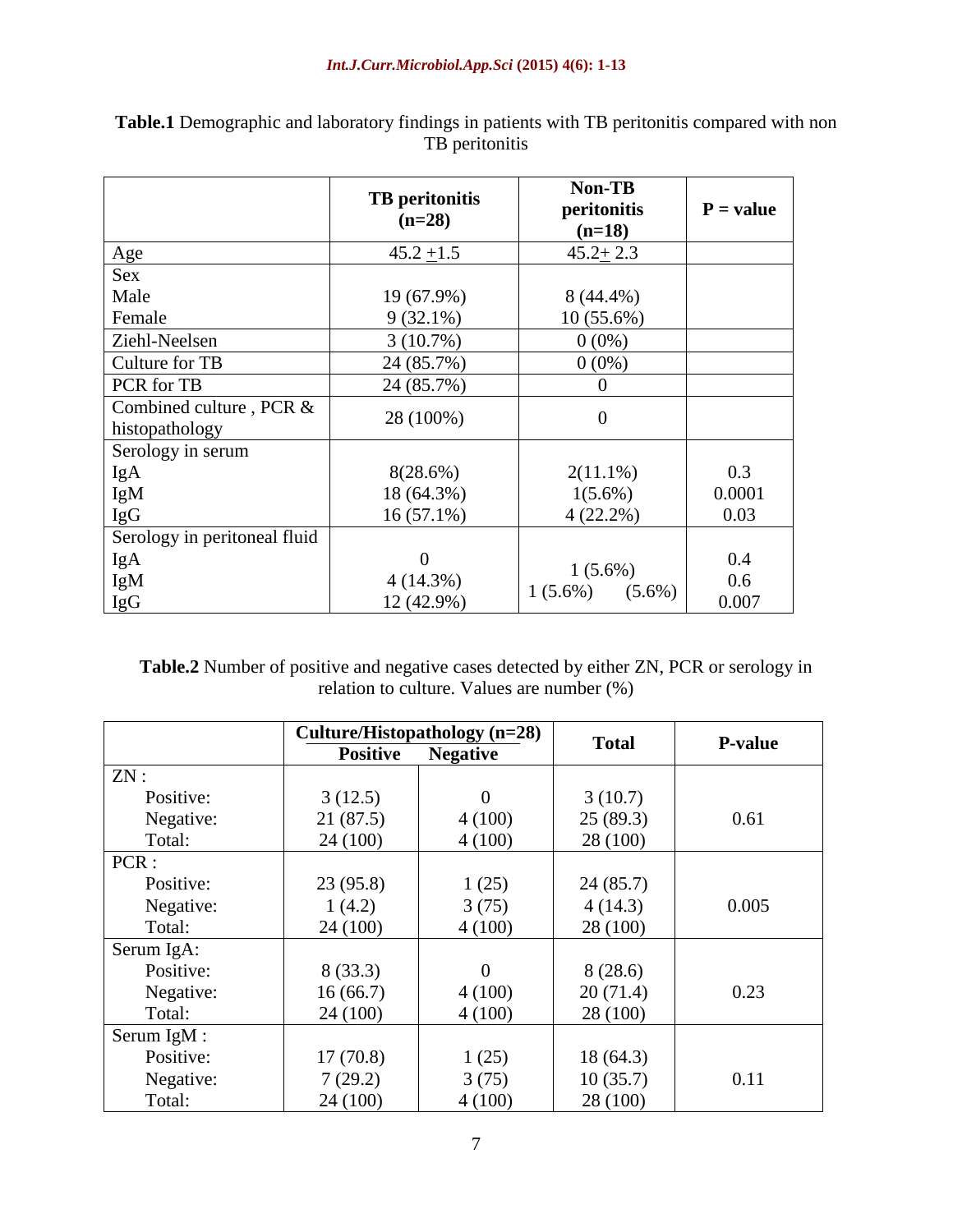|                                           | <b>TB</b> peritonitis<br>$(n=28)$ | <b>Non-TB</b><br>peritonitis | $P = value$ |
|-------------------------------------------|-----------------------------------|------------------------------|-------------|
| Age                                       | $45.2 + 1.5$                      | $(n=18)$<br>$45.2 + 2.3$     |             |
| <b>Sex</b>                                |                                   |                              |             |
| Male                                      | 19 (67.9%)                        | 8 (44.4%)                    |             |
| Female                                    | $9(32.1\%)$                       | $10(55.6\%)$                 |             |
| Ziehl-Neelsen                             | 3(10.7%)                          | $0(0\%)$                     |             |
| Culture for TB                            | 24 (85.7%)                        | $0(0\%)$                     |             |
| PCR for TB                                | 24 (85.7%)                        | $\overline{0}$               |             |
| Combined culture, PCR &<br>histopathology | 28 (100%)                         | $\overline{0}$               |             |
| Serology in serum                         |                                   |                              |             |
| IgA                                       | 8(28.6%)                          | $2(11.1\%)$                  | 0.3         |
| IgM                                       | 18 (64.3%)                        | $1(5.6\%)$                   | 0.0001      |
| <b>IgG</b>                                | $16(57.1\%)$                      | $4(22.2\%)$                  | 0.03        |
| Serology in peritoneal fluid              |                                   |                              |             |
| IgA                                       | $\Omega$                          | $1(5.6\%)$                   | 0.4         |
| IgM                                       | $4(14.3\%)$                       | $1(5.6\%)$<br>$(5.6\%)$      | 0.6         |
| <b>IgG</b>                                | 12 (42.9%)                        |                              | 0.007       |

**Table.1** Demographic and laboratory findings in patients with TB peritonitis compared with non TB peritonitis

**Table.2** Number of positive and negative cases detected by either ZN, PCR or serology in relation to culture. Values are number (%)

|             |                 | Culture/Histopathology $(n=28)$ | <b>Total</b> | <b>P-value</b> |  |
|-------------|-----------------|---------------------------------|--------------|----------------|--|
|             | <b>Positive</b> | <b>Negative</b>                 |              |                |  |
| ZN:         |                 |                                 |              |                |  |
| Positive:   | 3(12.5)         | 0                               | 3(10.7)      |                |  |
| Negative:   | 21(87.5)        | 4(100)                          | 25(89.3)     | 0.61           |  |
| Total:      | 24 (100)        | 4(100)                          | 28 (100)     |                |  |
| PCR:        |                 |                                 |              |                |  |
| Positive:   | 23(95.8)        | 1(25)                           | 24(85.7)     |                |  |
| Negative:   | 1(4.2)          | 3(75)                           | 4(14.3)      | 0.005          |  |
| Total:      | 24 (100)        | 4(100)                          | 28 (100)     |                |  |
| Serum IgA:  |                 |                                 |              |                |  |
| Positive:   | 8(33.3)         | 0                               | 8(28.6)      |                |  |
| Negative:   | 16(66.7)        | 4(100)                          | 20(71.4)     | 0.23           |  |
| Total:      | 24 (100)        | 4(100)                          | 28 (100)     |                |  |
| Serum IgM : |                 |                                 |              |                |  |
| Positive:   | 17(70.8)        | 1(25)                           | 18(64.3)     |                |  |
| Negative:   | 7(29.2)         | 3(75)                           | 10(35.7)     | 0.11           |  |
| Total:      | 24(100)         | 4(100)                          | 28 (100)     |                |  |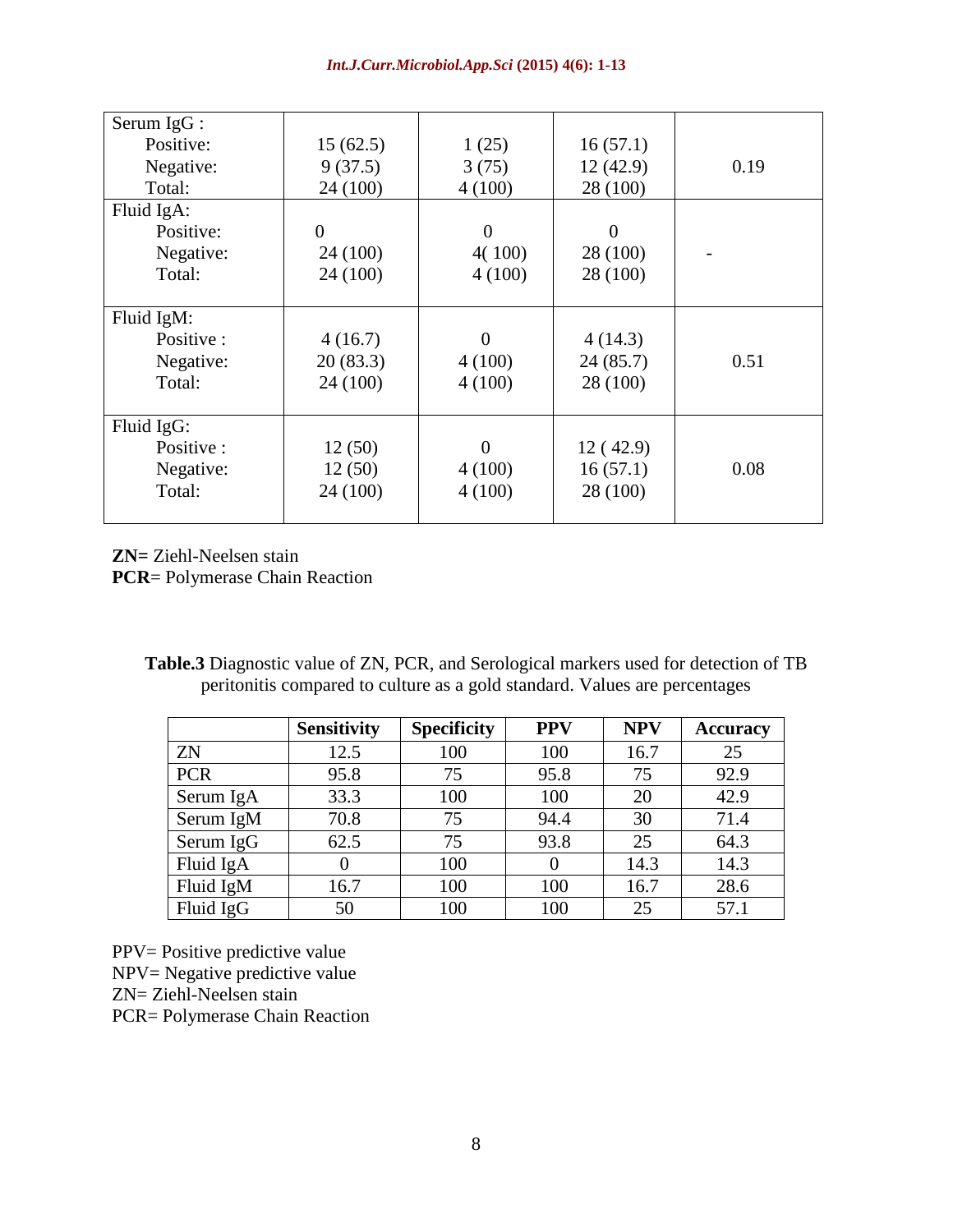| Serum IgG: |                |          |          |      |
|------------|----------------|----------|----------|------|
| Positive:  | 15(62.5)       | 1(25)    | 16(57.1) |      |
| Negative:  | 9(37.5)        | 3(75)    | 12(42.9) | 0.19 |
| Total:     | 24 (100)       | 4(100)   | 28 (100) |      |
| Fluid IgA: |                |          |          |      |
| Positive:  | $\overline{0}$ | $\theta$ | $\Omega$ |      |
| Negative:  | 24 (100)       | 4(100)   | 28 (100) |      |
| Total:     | 24 (100)       | 4(100)   | 28 (100) |      |
|            |                |          |          |      |
| Fluid IgM: |                |          |          |      |
| Positive : | 4(16.7)        | $\theta$ | 4(14.3)  |      |
| Negative:  | 20(83.3)       | 4(100)   | 24(85.7) | 0.51 |
| Total:     | 24 (100)       | 4(100)   | 28 (100) |      |
|            |                |          |          |      |
| Fluid IgG: |                |          |          |      |
| Positive : | 12(50)         | $\Omega$ | 12(42.9) |      |
| Negative:  | 12(50)         | 4(100)   | 16(57.1) | 0.08 |
| Total:     | 24 (100)       | 4(100)   | 28 (100) |      |
|            |                |          |          |      |

**ZN=** Ziehl-Neelsen stain

**PCR**= Polymerase Chain Reaction

**Table.3** Diagnostic value of ZN, PCR, and Serological markers used for detection of TB peritonitis compared to culture as a gold standard. Values are percentages

|            | <b>Sensitivity</b> | <b>Specificity</b> | <b>PPV</b> | <b>NPV</b> | <b>Accuracy</b> |
|------------|--------------------|--------------------|------------|------------|-----------------|
| ZN         | 12.5               | 100                | 100        | 16.7       | 25              |
| <b>PCR</b> | 95.8               | 75                 | 95.8       | 75         | 92.9            |
| Serum IgA  | 33.3               | 100                | 100        | 20         | 42.9            |
| Serum IgM  | 70.8               | 75                 | 94.4       | 30         | 71.4            |
| Serum IgG  | 62.5               | 75                 | 93.8       | 25         | 64.3            |
| Fluid IgA  |                    | 100                |            | 14.3       | 14.3            |
| Fluid IgM  | 16.7               | 100                | 100        | 16.7       | 28.6            |
| Fluid IgG  | 50                 | 100                | 100        | 25         | 57.1            |

PPV= Positive predictive value

NPV= Negative predictive value

ZN= Ziehl-Neelsen stain

PCR= Polymerase Chain Reaction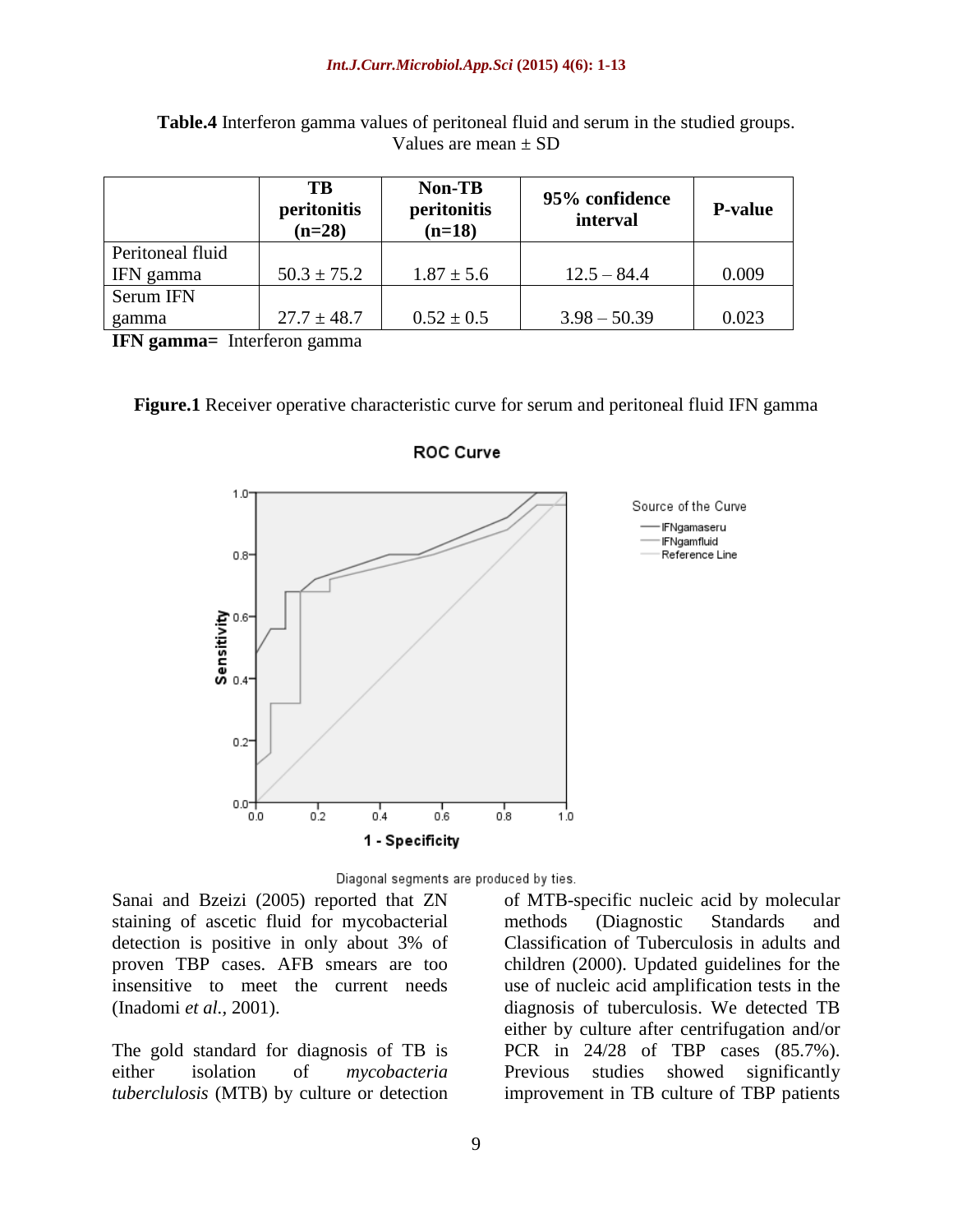#### *Int.J.Curr.Microbiol.App.Sci* **(2015) 4(6): 1-13**

|                  | <b>TB</b><br>peritonitis<br>$(n=28)$ | Non-TB<br>peritonitis<br>$(n=18)$ | 95% confidence<br>interval | <b>P-value</b> |  |
|------------------|--------------------------------------|-----------------------------------|----------------------------|----------------|--|
| Peritoneal fluid |                                      |                                   |                            |                |  |
| IFN gamma        | $50.3 \pm 75.2$                      | $1.87 \pm 5.6$                    | $12.5 - 84.4$              | 0.009          |  |
| Serum IFN        |                                      |                                   |                            |                |  |
| gamma            | $27.7 \pm 48.7$                      | $0.52 \pm 0.5$                    | $3.98 - 50.39$             | 0.023          |  |

|                          |  |  |  | <b>Table.4</b> Interferon gamma values of peritoneal fluid and serum in the studied groups. |  |  |  |  |  |  |
|--------------------------|--|--|--|---------------------------------------------------------------------------------------------|--|--|--|--|--|--|
| Values are mean $\pm$ SD |  |  |  |                                                                                             |  |  |  |  |  |  |

**IFN gamma=** Interferon gamma

**Figure.1** Receiver operative characteristic curve for serum and peritoneal fluid IFN gamma



**ROC Curve** 



Sanai and Bzeizi (2005) reported that ZN staining of ascetic fluid for mycobacterial detection is positive in only about 3% of proven TBP cases. AFB smears are too insensitive to meet the current needs (Inadomi *et al.,* 2001).

The gold standard for diagnosis of TB is either isolation of *mycobacteria tuberclulosis* (MTB) by culture or detection of MTB-specific nucleic acid by molecular methods (Diagnostic Standards and Classification of Tuberculosis in adults and children (2000). Updated guidelines for the use of nucleic acid amplification tests in the diagnosis of tuberculosis. We detected TB either by culture after centrifugation and/or PCR in 24/28 of TBP cases (85.7%). Previous studies showed significantly improvement in TB culture of TBP patients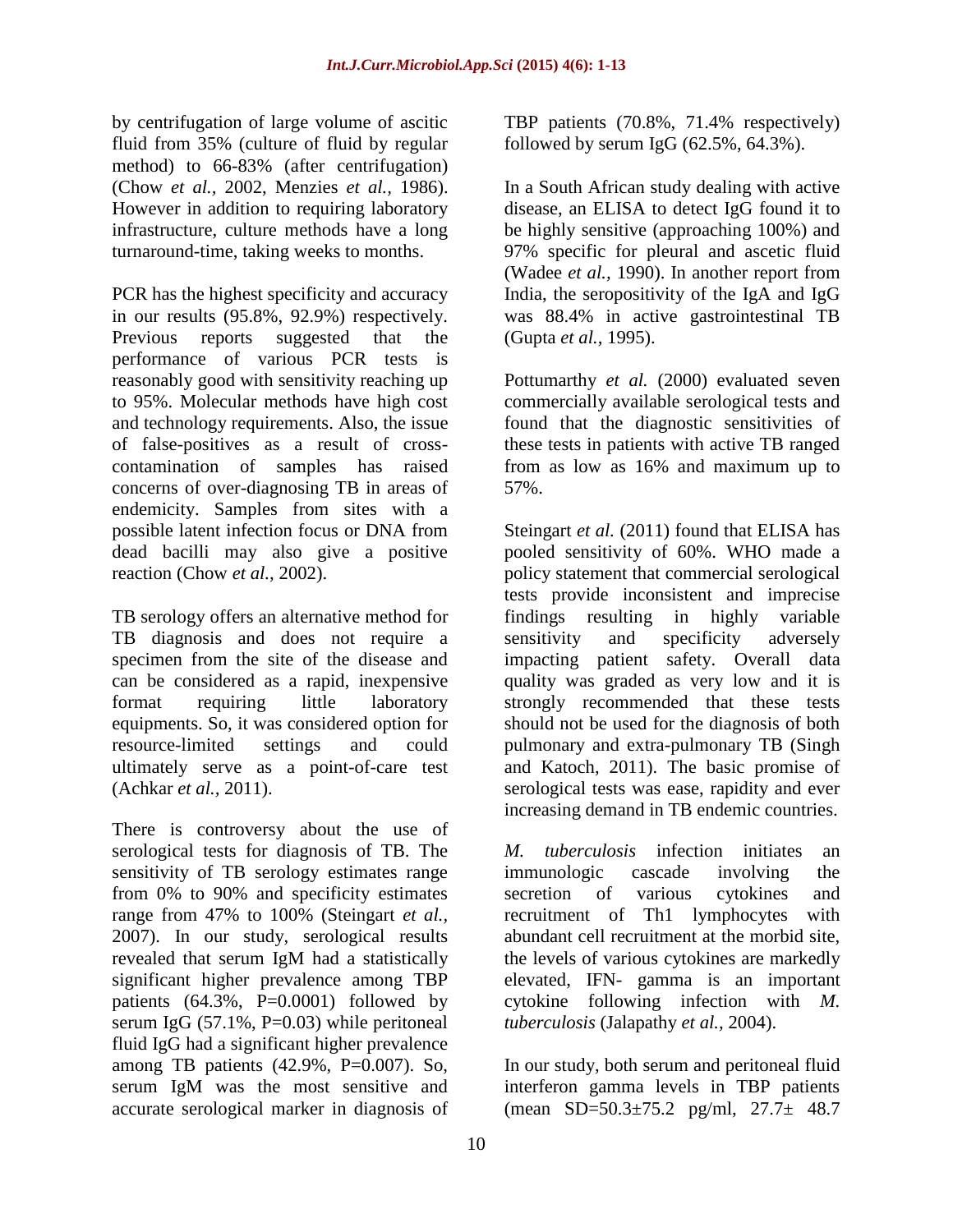by centrifugation of large volume of ascitic fluid from 35% (culture of fluid by regular method) to 66-83% (after centrifugation) (Chow *et al.,* 2002, Menzies *et al.,* 1986). However in addition to requiring laboratory infrastructure, culture methods have a long turnaround-time, taking weeks to months.

PCR has the highest specificity and accuracy in our results (95.8%, 92.9%) respectively. Previous reports suggested that the performance of various PCR tests is reasonably good with sensitivity reaching up to 95%. Molecular methods have high cost and technology requirements. Also, the issue of false-positives as a result of crosscontamination of samples has raised concerns of over-diagnosing TB in areas of endemicity. Samples from sites with a possible latent infection focus or DNA from dead bacilli may also give a positive reaction (Chow *et al.,* 2002).

TB serology offers an alternative method for TB diagnosis and does not require a specimen from the site of the disease and can be considered as a rapid, inexpensive format requiring little laboratory equipments. So, it was considered option for resource-limited settings and could ultimately serve as a point-of-care test (Achkar *et al.,* 2011).

There is controversy about the use of serological tests for diagnosis of TB. The sensitivity of TB serology estimates range from 0% to 90% and specificity estimates range from 47% to 100% (Steingart *et al.,* 2007). In our study, serological results revealed that serum IgM had a statistically significant higher prevalence among TBP patients  $(64.3\%, P=0.0001)$  followed by serum IgG  $(57.1\%, P=0.03)$  while peritoneal fluid IgG had a significant higher prevalence among TB patients (42.9%, P=0.007). So, serum IgM was the most sensitive and accurate serological marker in diagnosis of

TBP patients (70.8%, 71.4% respectively) followed by serum IgG  $(62.5\%, 64.3\%)$ .

In a South African study dealing with active disease, an ELISA to detect IgG found it to be highly sensitive (approaching 100%) and 97% specific for pleural and ascetic fluid (Wadee *et al.,* 1990). In another report from India, the seropositivity of the IgA and IgG was 88.4% in active gastrointestinal TB (Gupta *et al.,* 1995).

Pottumarthy *et al.* (2000) evaluated seven commercially available serological tests and found that the diagnostic sensitivities of these tests in patients with active TB ranged from as low as 16% and maximum up to 57%.

Steingart *et al.* (2011) found that ELISA has pooled sensitivity of 60%. WHO made a policy statement that commercial serological tests provide inconsistent and imprecise findings resulting in highly variable sensitivity and specificity adversely impacting patient safety. Overall data quality was graded as very low and it is strongly recommended that these tests should not be used for the diagnosis of both pulmonary and extra-pulmonary TB (Singh and Katoch, 2011). The basic promise of serological tests was ease, rapidity and ever increasing demand in TB endemic countries.

*M. tuberculosis* infection initiates an immunologic cascade involving the secretion of various cytokines and recruitment of Th1 lymphocytes with abundant cell recruitment at the morbid site, the levels of various cytokines are markedly elevated, IFN- gamma is an important cytokine following infection with *M. tuberculosis* (Jalapathy *et al.,* 2004).

In our study, both serum and peritoneal fluid interferon gamma levels in TBP patients (mean SD=50.3 $\pm$ 75.2 pg/ml, 27.7 $\pm$  48.7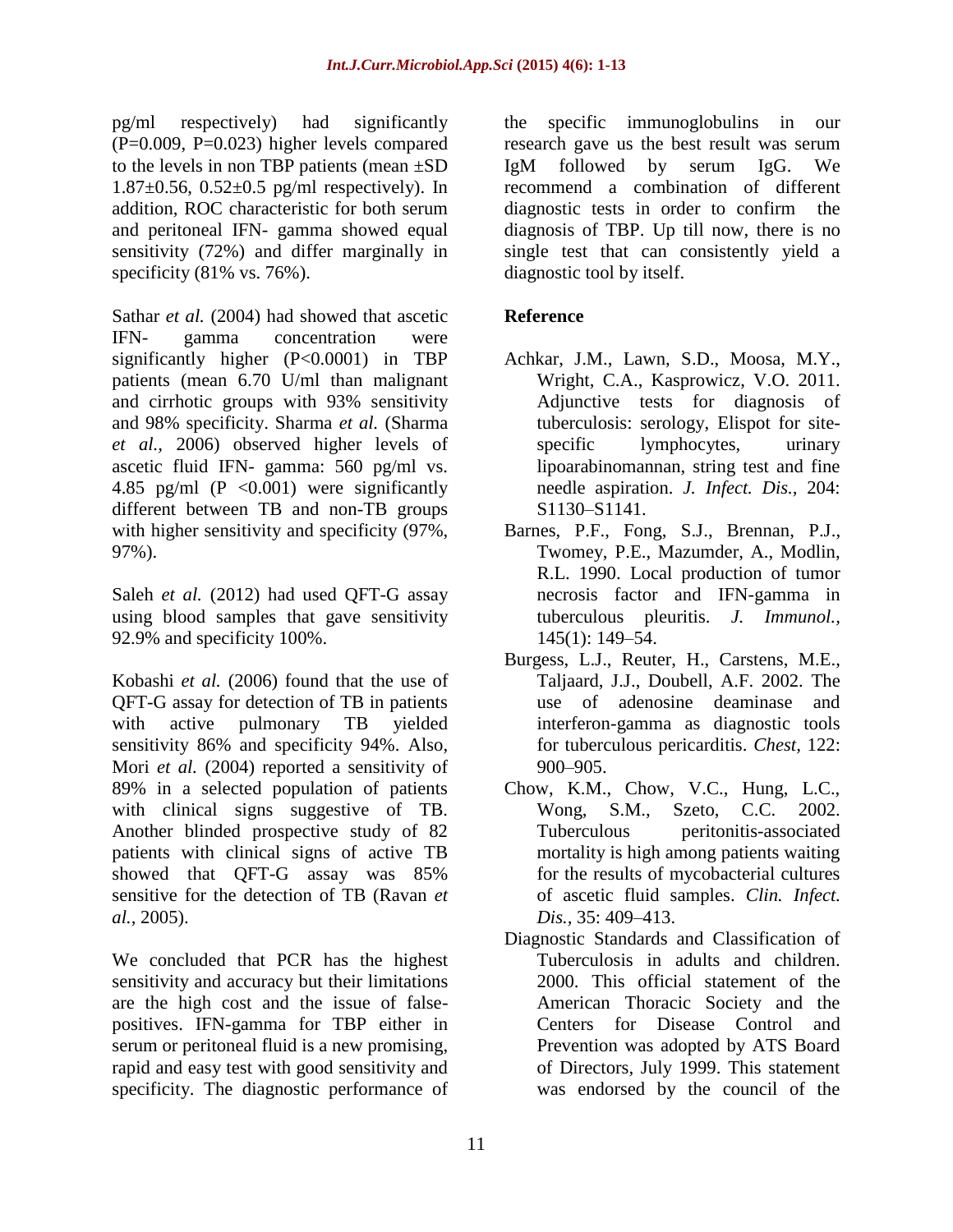pg/ml respectively) had significantly  $(P=0.009, P=0.023)$  higher levels compared to the levels in non TBP patients (mean ±SD 1.87±0.56, 0.52±0.5 pg/ml respectively). In addition, ROC characteristic for both serum and peritoneal IFN- gamma showed equal sensitivity (72%) and differ marginally in specificity (81% vs. 76%).

Sathar *et al.* (2004) had showed that ascetic IFN- gamma concentration were significantly higher (P<0.0001) in TBP patients (mean 6.70 U/ml than malignant and cirrhotic groups with 93% sensitivity and 98% specificity. Sharma *et al.* (Sharma *et al.,* 2006) observed higher levels of ascetic fluid IFN- gamma: 560 pg/ml vs. 4.85 pg/ml (P <0.001) were significantly different between TB and non-TB groups with higher sensitivity and specificity (97%, 97%).

Saleh *et al.* (2012) had used QFT-G assay using blood samples that gave sensitivity 92.9% and specificity 100%.

Kobashi *et al.* (2006) found that the use of QFT-G assay for detection of TB in patients with active pulmonary TB yielded sensitivity 86% and specificity 94%. Also, Mori *et al.* (2004) reported a sensitivity of 89% in a selected population of patients with clinical signs suggestive of TB. Another blinded prospective study of 82 patients with clinical signs of active TB showed that QFT-G assay was 85% sensitive for the detection of TB (Ravan *et al.,* 2005).

We concluded that PCR has the highest sensitivity and accuracy but their limitations are the high cost and the issue of falsepositives. IFN-gamma for TBP either in serum or peritoneal fluid is a new promising, rapid and easy test with good sensitivity and specificity. The diagnostic performance of

the specific immunoglobulins in our research gave us the best result was serum IgM followed by serum IgG. We recommend a combination of different diagnostic tests in order to confirm the diagnosis of TBP. Up till now, there is no single test that can consistently yield a diagnostic tool by itself.

# **Reference**

- Achkar, J.M., Lawn, S.D., Moosa, M.Y., Wright, C.A., Kasprowicz, V.O. 2011. Adjunctive tests for diagnosis of tuberculosis: serology, Elispot for sitespecific lymphocytes, urinary lipoarabinomannan, string test and fine needle aspiration. *J. Infect. Dis.,* 204: S1130–S1141.
- [Barnes,](http://www.ncbi.nlm.nih.gov/pubmed/?term=Barnes%20PF%5BAuthor%5D&cauthor=true&cauthor_uid=2113553) P.F., [Fong,](http://www.ncbi.nlm.nih.gov/pubmed/?term=Fong%20SJ%5BAuthor%5D&cauthor=true&cauthor_uid=2113553) S.J., [Brennan,](http://www.ncbi.nlm.nih.gov/pubmed/?term=Brennan%20PJ%5BAuthor%5D&cauthor=true&cauthor_uid=2113553) P.J., [Twomey,](http://www.ncbi.nlm.nih.gov/pubmed/?term=Twomey%20PE%5BAuthor%5D&cauthor=true&cauthor_uid=2113553) P.E., [Mazumder,](http://www.ncbi.nlm.nih.gov/pubmed/?term=Mazumder%20A%5BAuthor%5D&cauthor=true&cauthor_uid=2113553) A., [Modlin,](http://www.ncbi.nlm.nih.gov/pubmed/?term=Modlin%20RL%5BAuthor%5D&cauthor=true&cauthor_uid=2113553) [R.L.](http://www.ncbi.nlm.nih.gov/pubmed/?term=Modlin%20RL%5BAuthor%5D&cauthor=true&cauthor_uid=2113553) 1990. Local production of tumor necrosis factor and IFN-gamma in tuberculous pleuritis. *J. [Immunol.,](http://www.ncbi.nlm.nih.gov/pubmed/?term=Barnes+PF%2C+Fong+SJ%2C+Brennan+PJ%2C+Twomey+PE%2C+Mazumder+A%2C)*  145(1): 149–54.
- Burgess, L.J., Reuter, H., Carstens, M.E., Taljaard, J.J., Doubell, A.F. 2002. The use of adenosine deaminase and interferon-gamma as diagnostic tools for tuberculous pericarditis. *Chest,* 122: 900–905.
- Chow, K.M., Chow, V.C., Hung, L.C., Wong, S.M., Szeto, C.C. 2002. Tuberculous peritonitis-associated mortality is high among patients waiting for the results of mycobacterial cultures of ascetic fluid samples. *Clin. Infect. Dis.,* 35: 409–413.
- Diagnostic Standards and Classification of Tuberculosis in adults and children. 2000. This official statement of the American Thoracic Society and the Centers for Disease Control and Prevention was adopted by ATS Board of Directors, July 1999. This statement was endorsed by the council of the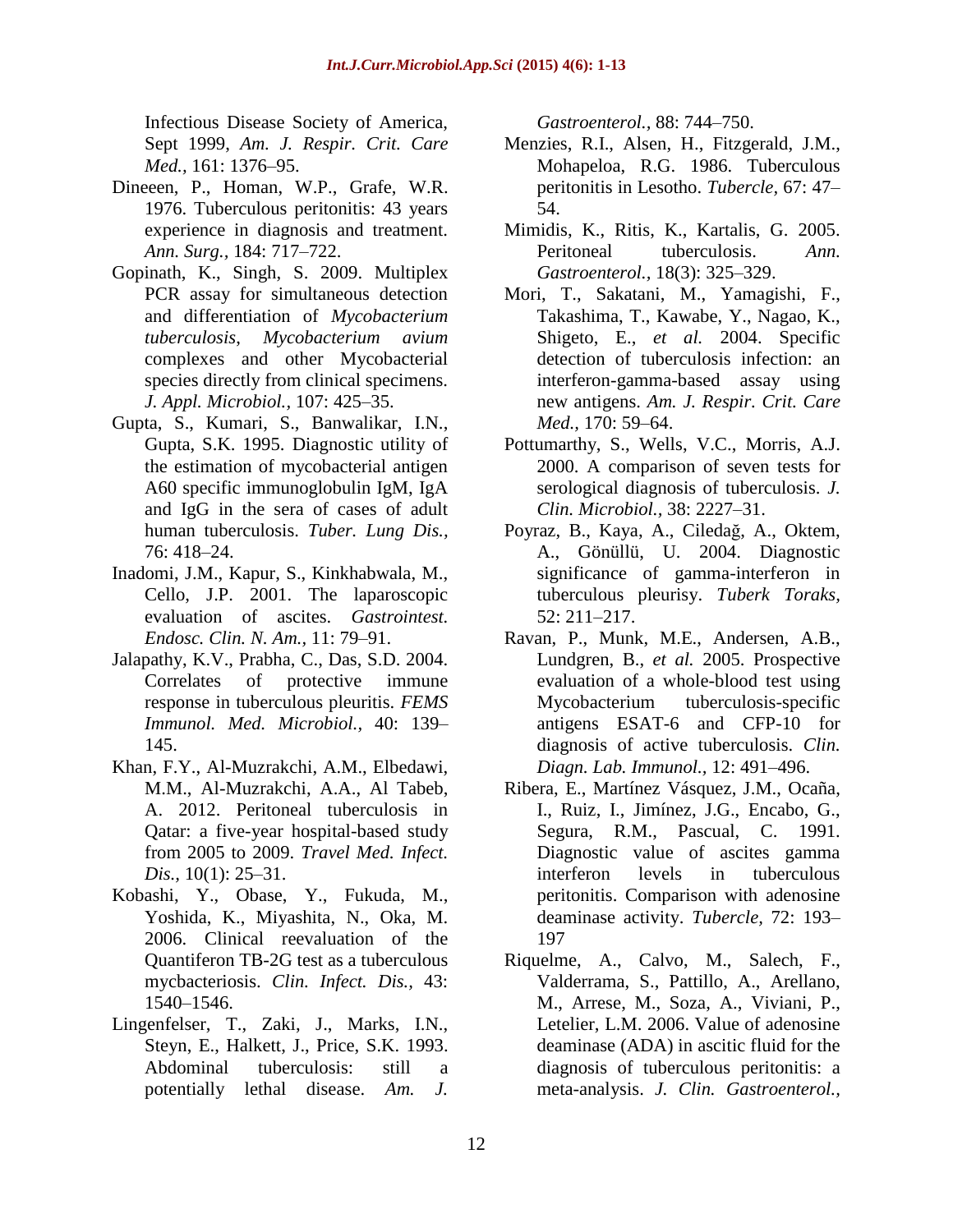Infectious Disease Society of America, Sept 1999, *Am. J. Respir. Crit. Care Med.,* 161: 1376–95.

- Dineeen, P., Homan, W.P., Grafe, W.R. 1976. Tuberculous peritonitis: 43 years experience in diagnosis and treatment. *Ann. Surg.,* 184: 717–722.
- Gopinath, K., Singh, S. 2009. Multiplex PCR assay for simultaneous detection and differentiation of *Mycobacterium tuberculosis*, *Mycobacterium avium*  complexes and other Mycobacterial species directly from clinical specimens. *J. Appl. Microbiol.,* 107: 425–35.
- Gupta, S., Kumari, S., Banwalikar, I.N., Gupta, S.K. 1995. Diagnostic utility of the estimation of mycobacterial antigen A60 specific immunoglobulin IgM, IgA and IgG in the sera of cases of adult human tuberculosis. *Tuber. Lung Dis.,* 76: 418–24.
- Inadomi, J.M., Kapur, S., Kinkhabwala, M., Cello, J.P. 2001. The laparoscopic evaluation of ascites. *Gastrointest. Endosc. Clin. N. Am.,* 11: 79–91.
- Jalapathy, K.V., Prabha, C., Das, S.D. 2004. Correlates of protective immune response in tuberculous pleuritis. *FEMS Immunol. Med. Microbiol.,* 40: 139– 145.
- Khan, F.Y., Al-Muzrakchi, A.M., Elbedawi, M.M., Al-Muzrakchi, A.A., Al Tabeb, A. 2012. Peritoneal tuberculosis in Qatar: a five-year hospital-based study from 2005 to 2009. *Travel Med. Infect. Dis.,* 10(1): 25–31.
- Kobashi, Y., Obase, Y., Fukuda, M., Yoshida, K., Miyashita, N., Oka, M. 2006. Clinical reevaluation of the Quantiferon TB-2G test as a tuberculous mycbacteriosis. *Clin. Infect. Dis.,* 43: 1540–1546.
- Lingenfelser, T., Zaki, J., Marks, I.N., Steyn, E., Halkett, J., Price, S.K. 1993. Abdominal tuberculosis: still a potentially lethal disease. *Am. J.*

*Gastroenterol.,* 88: 744–750.

- Menzies, R.I., Alsen, H., Fitzgerald, J.M., Mohapeloa, R.G. 1986. Tuberculous peritonitis in Lesotho. *Tubercle,* 67: 47– 54.
- Mimidis, K., Ritis, K., Kartalis, G. 2005. Peritoneal tuberculosis. *Ann. Gastroenterol.,* 18(3): 325–329.
- Mori, T., Sakatani, M., Yamagishi, F., Takashima, T., Kawabe, Y., Nagao, K., Shigeto, E., *et al.* 2004. Specific detection of tuberculosis infection: an interferon-gamma-based assay using new antigens. *Am. J. Respir. Crit. Care Med.,* 170: 59–64.
- Pottumarthy, S., Wells, V.C., Morris, A.J. 2000. A comparison of seven tests for serological diagnosis of tuberculosis. *J. Clin. Microbiol.,* 38: 2227–31.
- Poyraz, B., Kaya, A., Ciledağ, A., Oktem, A., Gönüllü, U. 2004. Diagnostic significance of gamma-interferon in tuberculous pleurisy. *Tuberk Toraks,* 52: 211–217.
- Ravan, P., Munk, M.E., Andersen, A.B., Lundgren, B., *et al.* 2005. Prospective evaluation of a whole-blood test using Mycobacterium tuberculosis-specific antigens ESAT-6 and CFP-10 for diagnosis of active tuberculosis. *Clin. Diagn. Lab. Immunol.,* 12: 491–496.
- Ribera, E., Martínez Vásquez, J.M., Ocaña, I., Ruiz, I., Jimínez, J.G., Encabo, G., Segura, R.M., Pascual, C. 1991. Diagnostic value of ascites gamma interferon levels in tuberculous peritonitis. Comparison with adenosine deaminase activity. *Tubercle,* 72: 193– 197
- Riquelme, A., Calvo, M., Salech, F., Valderrama, S., Pattillo, A., Arellano, M., Arrese, M., Soza, A., Viviani, P., Letelier, L.M. 2006. Value of adenosine deaminase (ADA) in ascitic fluid for the diagnosis of tuberculous peritonitis: a meta-analysis. *J. Clin. Gastroenterol.,*